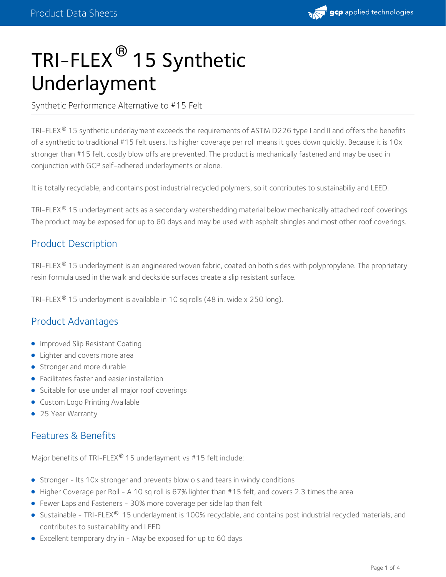

# TRI-FLEX® 15 Synthetic Underlayment

Synthetic Performance Alternative to #15 Felt

TRI-FLEX 15 synthetic underlayment exceeds the requirements of ASTM D226 type I and II and offers the benefits ® of a synthetic to traditional #15 felt users. Its higher coverage per roll means it goes down quickly. Because it is 10x stronger than #15 felt, costly blow offs are prevented. The product is mechanically fastened and may be used in conjunction with GCP self-adhered underlayments or alone.

It is totally recyclable, and contains post industrial recycled polymers, so it contributes to sustainabiliy and LEED.

TRI-FLEX® 15 underlayment acts as a secondary watershedding material below mechanically attached roof coverings. The product may be exposed for up to 60 days and may be used with asphalt shingles and most other roof coverings.

## Product Description

TRI-FLEX® 15 underlayment is an engineered woven fabric, coated on both sides with polypropylene. The proprietary resin formula used in the walk and deckside surfaces create a slip resistant surface.

TRI-FLEX® 15 underlayment is available in 10 sq rolls (48 in. wide x 250 long).

## Product Advantages

- **Improved Slip Resistant Coating**
- Lighter and covers more area
- Stronger and more durable
- Facilitates faster and easier installation
- Suitable for use under all major roof coverings
- **Custom Logo Printing Available**
- 25 Year Warranty

## Features & Benefits

Major benefits of TRI-FLEX® 15 underlayment vs #15 felt include:

- Stronger Its 10x stronger and prevents blow o s and tears in windy conditions
- Higher Coverage per Roll A 10 sq roll is 67% lighter than #15 felt, and covers 2.3 times the area
- Fewer Laps and Fasteners 30% more coverage per side lap than felt
- Sustainable TRI-FLEX® 15 underlayment is 100% recyclable, and contains post industrial recycled materials, and contributes to sustainability and LEED
- Excellent temporary dry in May be exposed for up to 60 days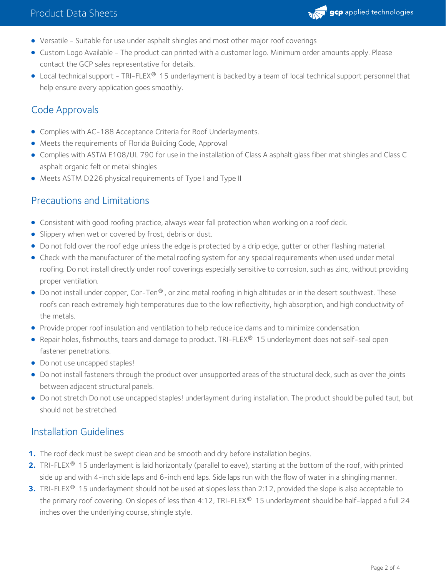

- Versatile Suitable for use under asphalt shingles and most other major roof coverings
- Custom Logo Available The product can printed with a customer logo. Minimum order amounts apply. Please contact the GCP sales representative for details.
- Local technical support TRI-FLEX® 15 underlayment is backed by a team of local technical support personnel that help ensure every application goes smoothly.

# Code Approvals

- Complies with AC-188 Acceptance Criteria for Roof Underlayments.
- Meets the requirements of Florida Building Code, Approval
- Complies with ASTM E108/UL 790 for use in the installation of Class A asphalt glass fiber mat shingles and Class C asphalt organic felt or metal shingles
- Meets ASTM D226 physical requirements of Type I and Type II

#### Precautions and Limitations

- Consistent with good roofing practice, always wear fall protection when working on a roof deck.
- **Slippery when wet or covered by frost, debris or dust.**
- Do not fold over the roof edge unless the edge is protected by a drip edge, gutter or other flashing material.
- Check with the manufacturer of the metal roofing system for any special requirements when used under metal roofing. Do not install directly under roof coverings especially sensitive to corrosion, such as zinc, without providing proper ventilation.
- Do not install under copper, Cor-Ten® , or zinc metal roofing in high altitudes or in the desert southwest. These roofs can reach extremely high temperatures due to the low reflectivity, high absorption, and high conductivity of the metals.
- Provide proper roof insulation and ventilation to help reduce ice dams and to minimize condensation.
- Repair holes, fishmouths, tears and damage to product. TRI-FLEX® 15 underlayment does not self-seal open fastener penetrations.
- Do not use uncapped staples!
- Do not install fasteners through the product over unsupported areas of the structural deck, such as over the joints between adjacent structural panels.
- Do not stretch Do not use uncapped staples! underlayment during installation. The product should be pulled taut, but should not be stretched.

#### Installation Guidelines

- **1.** The roof deck must be swept clean and be smooth and dry before installation begins.
- 2. TRI-FLEX<sup>®</sup> 15 underlayment is laid horizontally (parallel to eave), starting at the bottom of the roof, with printed side up and with 4-inch side laps and 6-inch end laps. Side laps run with the flow of water in a shingling manner.
- **3.** TRI-FLEX® 15 underlayment should not be used at slopes less than 2:12, provided the slope is also acceptable to the primary roof covering. On slopes of less than 4:12, TRI-FLEX® 15 underlayment should be half-lapped a full 24 inches over the underlying course, shingle style.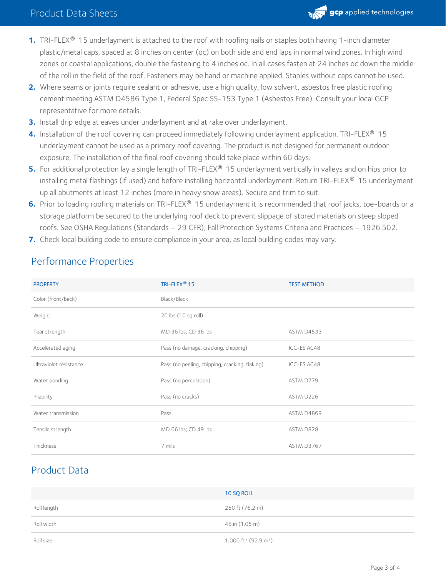

- **1.** TRI-FLEX® 15 underlayment is attached to the roof with roofing nails or staples both having 1-inch diameter plastic/metal caps, spaced at 8 inches on center (oc) on both side and end laps in normal wind zones. In high wind zones or coastal applications, double the fastening to 4 inches oc. In all cases fasten at 24 inches oc down the middle of the roll in the field of the roof. Fasteners may be hand or machine applied. Staples without caps cannot be used.
- Where seams or joints require sealant or adhesive, use a high quality, low solvent, asbestos free plastic roofing **2.** cement meeting ASTM D4586 Type 1, Federal Spec SS-153 Type 1 (Asbestos Free). Consult your local GCP representative for more details.
- **3.** Install drip edge at eaves under underlayment and at rake over underlayment.
- **4.** Installation of the roof covering can proceed immediately following underlayment application. TRI-FLEX® 15 underlayment cannot be used as a primary roof covering. The product is not designed for permanent outdoor exposure. The installation of the final roof covering should take place within 60 days.
- **5.** For additional protection lay a single length of TRI-FLEX® 15 underlayment vertically in valleys and on hips prior to installing metal flashings (if used) and before installing horizontal underlayment. Return TRI-FLEX® 15 underlayment up all abutments at least 12 inches (more in heavy snow areas). Secure and trim to suit.
- **6.** Prior to loading roofing materials on TRI-FLEX® 15 underlayment it is recommended that roof jacks, toe-boards or a storage platform be secured to the underlying roof deck to prevent slippage of stored materials on steep sloped roofs. See OSHA Regulations (Standards – 29 CFR), Fall Protection Systems Criteria and Practices – 1926.502.
- **7.** Check local building code to ensure compliance in your area, as local building codes may vary.

| <b>PROPERTY</b>        | TRI-FLEX <sup>®</sup> 15                       | <b>TEST METHOD</b> |
|------------------------|------------------------------------------------|--------------------|
| Color (front/back)     | Black/Black                                    |                    |
| Weight                 | 20 lbs (10 sq roll)                            |                    |
| Tear strength          | MD 36 lbs; CD 36 lbs                           | ASTM D4533         |
| Accelerated aging      | Pass (no damage, cracking, chipping)           | ICC-ES AC48        |
| Ultraviolet resistance | Pass (no peeling, chipping, cracking, flaking) | ICC-ES AC48        |
| Water ponding          | Pass (no percolation)                          | ASTM D779          |
| Pliability             | Pass (no cracks)                               | ASTM D226          |
| Water transmission     | Pass                                           | ASTM D4869         |
| Tensile strength       | MD 66 lbs; CD 49 lbs                           | ASTM D828          |
| Thickness              | 7 mils                                         | ASTM D3767         |

# Performance Properties

# Product Data

|             | 10 SQ ROLL                                   |
|-------------|----------------------------------------------|
| Roll length | 250 ft (76.2 m)                              |
| Roll width  | 48 in (1.05 m)                               |
| Roll size   | 1,000 ft <sup>2</sup> (92.9 m <sup>2</sup> ) |